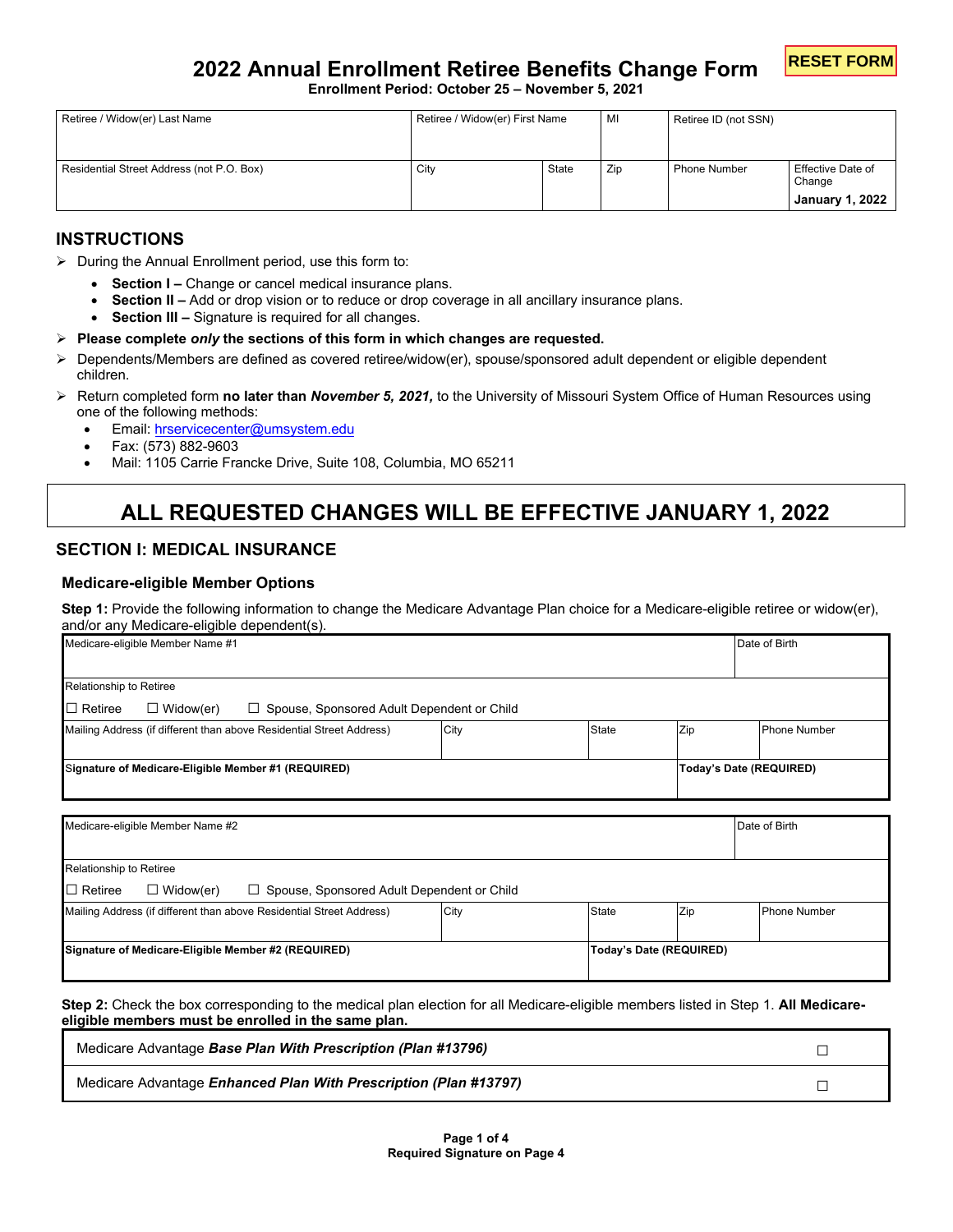

**Enrollment Period: October 25 – November 5, 2021**

| Retiree / Widow(er) Last Name             | Retiree / Widow(er) First Name |       | МI  | Retiree ID (not SSN) |                                                       |
|-------------------------------------------|--------------------------------|-------|-----|----------------------|-------------------------------------------------------|
| Residential Street Address (not P.O. Box) | City                           | State | Zip | <b>Phone Number</b>  | Effective Date of<br>Change<br><b>January 1, 2022</b> |

# **INSTRUCTIONS**

- $\triangleright$  During the Annual Enrollment period, use this form to:
	- **Section I –** Change or cancel medical insurance plans.
	- **Section II** Add or drop vision or to reduce or drop coverage in all ancillary insurance plans.
	- **Section III** Signature is required for all changes.
- **Please complete** *only* **the sections of this form in which changes are requested.**
- Dependents/Members are defined as covered retiree/widow(er), spouse/sponsored adult dependent or eligible dependent children.
- Return completed form **no later than** *November 5, 2021,* to the University of Missouri System Office of Human Resources using one of the following methods:
	- Email: [hrservicecenter@umsystem.edu](mailto:hrservicecenter@umsystem.edu)
	- Fax: (573) 882-9603
	- Mail: 1105 Carrie Francke Drive, Suite 108, Columbia, MO 65211

# **ALL REQUESTED CHANGES WILL BE EFFECTIVE JANUARY 1, 2022**

# **SECTION I: MEDICAL INSURANCE**

### **Medicare-eligible Member Options**

**Step 1:** Provide the following information to change the Medicare Advantage Plan choice for a Medicare-eligible retiree or widow(er), and/or any Medicare-eligible dependent(s).

| Medicare-eligible Member Name #1                                                        |      |              | Date of Birth           |                     |  |
|-----------------------------------------------------------------------------------------|------|--------------|-------------------------|---------------------|--|
| Relationship to Retiree                                                                 |      |              |                         |                     |  |
| $\Box$ Retiree<br>$\Box$ Widow(er)<br>$\Box$ Spouse, Sponsored Adult Dependent or Child |      |              |                         |                     |  |
| Mailing Address (if different than above Residential Street Address)                    | City | <b>State</b> | Zip                     | Phone Number        |  |
| Signature of Medicare-Eligible Member #1 (REQUIRED)                                     |      |              | Today's Date (REQUIRED) |                     |  |
|                                                                                         |      |              |                         |                     |  |
| Medicare-eligible Member Name #2                                                        |      |              |                         | Date of Birth       |  |
| Relationship to Retiree                                                                 |      |              |                         |                     |  |
| $\Box$ Retiree<br>$\Box$ Widow(er)<br>Spouse, Sponsored Adult Dependent or Child<br>ш   |      |              |                         |                     |  |
| Mailing Address (if different than above Residential Street Address)                    | City | <b>State</b> | Zip                     | <b>Phone Number</b> |  |
| Signature of Medicare-Eligible Member #2 (REQUIRED)                                     |      |              | Today's Date (REQUIRED) |                     |  |

**Step 2:** Check the box corresponding to the medical plan election for all Medicare-eligible members listed in Step 1. **All Medicareeligible members must be enrolled in the same plan.** 

| Medicare Advantage Base Plan With Prescription (Plan #13796)            |  |
|-------------------------------------------------------------------------|--|
| Medicare Advantage <i>Enhanced Plan With Prescription (Plan #13797)</i> |  |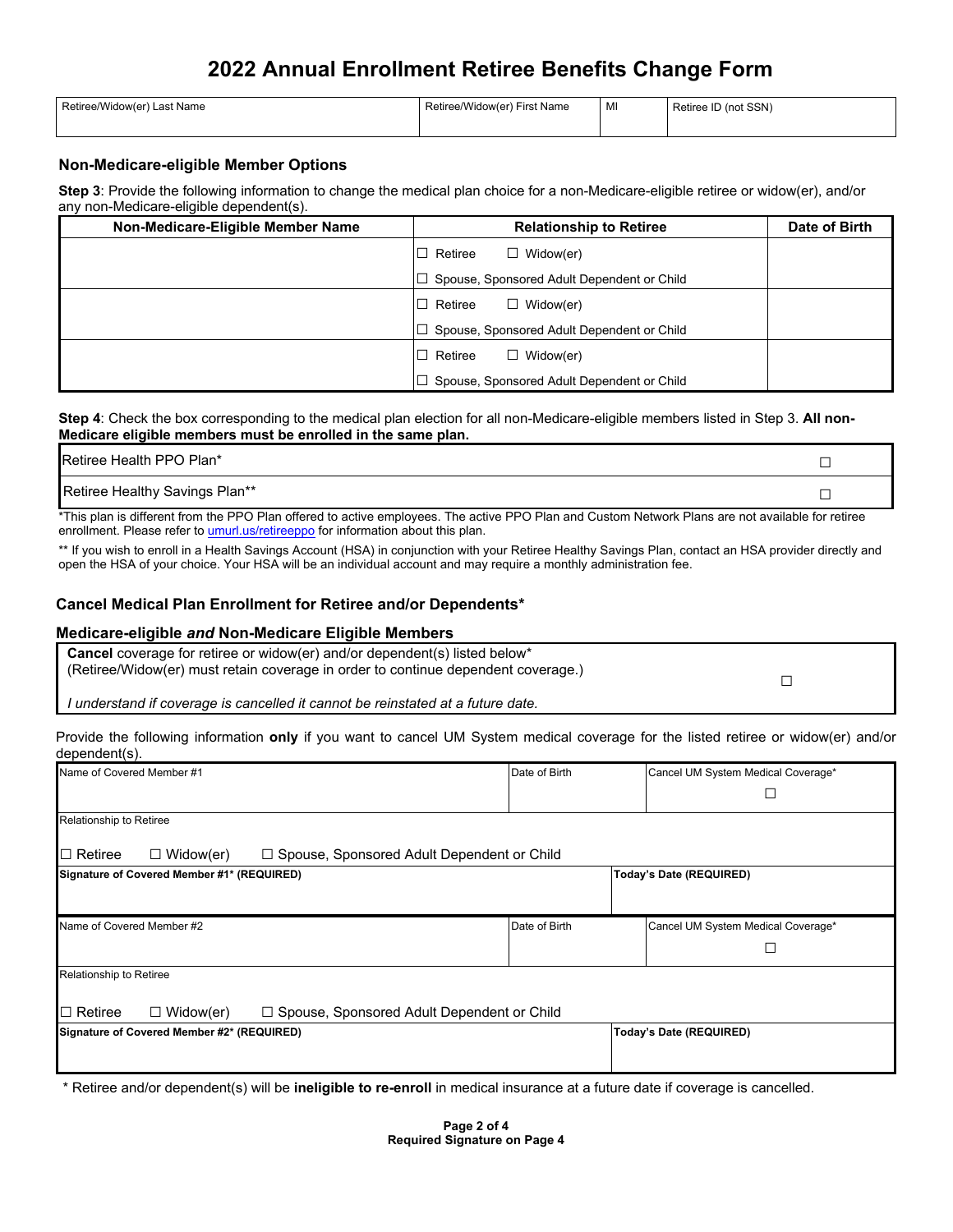| Retiree/Widow(er) Last Name | Retiree/Widow(er) First Name | MI | Retiree ID (not SSN) |
|-----------------------------|------------------------------|----|----------------------|
|                             |                              |    |                      |

### **Non-Medicare-eligible Member Options**

**Step 3**: Provide the following information to change the medical plan choice for a non-Medicare-eligible retiree or widow(er), and/or any non-Medicare-eligible dependent(s).

| Non-Medicare-Eligible Member Name | <b>Relationship to Retiree</b>             | Date of Birth |
|-----------------------------------|--------------------------------------------|---------------|
|                                   | Retiree<br>Widow(er)<br>Ш                  |               |
|                                   | Spouse, Sponsored Adult Dependent or Child |               |
|                                   | $\Box$ Widow(er)<br>Retiree<br>П           |               |
|                                   | Spouse, Sponsored Adult Dependent or Child |               |
|                                   | Widow(er)<br>Retiree<br>ΙI                 |               |
|                                   | Spouse, Sponsored Adult Dependent or Child |               |

**Step 4**: Check the box corresponding to the medical plan election for all non-Medicare-eligible members listed in Step 3. **All non-Medicare eligible members must be enrolled in the same plan.**

| <b>Retiree Health PPO Plan*</b> |  |
|---------------------------------|--|
| Retiree Healthy Savings Plan**  |  |

\*This plan is different from the PPO Plan offered to active employees. The active PPO Plan and Custom Network Plans are not available for retiree enrollment. Please refer t[o umurl.us/retireeppo f](http://umurl.us/retireeppo)or information about this plan.

\*\* If you wish to enroll in a Health Savings Account (HSA) in conjunction with your Retiree Healthy Savings Plan, contact an HSA provider directly and open the HSA of your choice. Your HSA will be an individual account and may require a monthly administration fee.

### **Cancel Medical Plan Enrollment for Retiree and/or Dependents\***

#### **Medicare-eligible** *and* **Non-Medicare Eligible Members**

| <b>Cancel</b> coverage for retiree or widow(er) and/or dependent(s) listed below* |  |
|-----------------------------------------------------------------------------------|--|
| (Retiree/Widow(er) must retain coverage in order to continue dependent coverage.) |  |
|                                                                                   |  |
| I understand if coverage is cancelled it cannot be reinstated at a future date.   |  |

Provide the following information **only** if you want to cancel UM System medical coverage for the listed retiree or widow(er) and/or dependent(s).

| Name of Covered Member #1                                                          | Date of Birth<br>Cancel UM System Medical Coverage* |                                    |
|------------------------------------------------------------------------------------|-----------------------------------------------------|------------------------------------|
|                                                                                    |                                                     |                                    |
| Relationship to Retiree                                                            |                                                     |                                    |
| $\Box$ Widow(er)<br>□ Spouse, Sponsored Adult Dependent or Child<br>I⊡ Retiree     |                                                     |                                    |
| Signature of Covered Member #1* (REQUIRED)<br>Today's Date (REQUIRED)              |                                                     |                                    |
|                                                                                    |                                                     |                                    |
| Name of Covered Member #2                                                          | Date of Birth                                       | Cancel UM System Medical Coverage* |
|                                                                                    |                                                     |                                    |
| Relationship to Retiree                                                            |                                                     |                                    |
| □ Spouse, Sponsored Adult Dependent or Child<br>$\Box$ Widow(er)<br>$\Box$ Retiree |                                                     |                                    |
| Signature of Covered Member #2* (REQUIRED)                                         |                                                     | Today's Date (REQUIRED)            |
|                                                                                    |                                                     |                                    |

\* Retiree and/or dependent(s) will be **ineligible to re-enroll** in medical insurance at a future date if coverage is cancelled.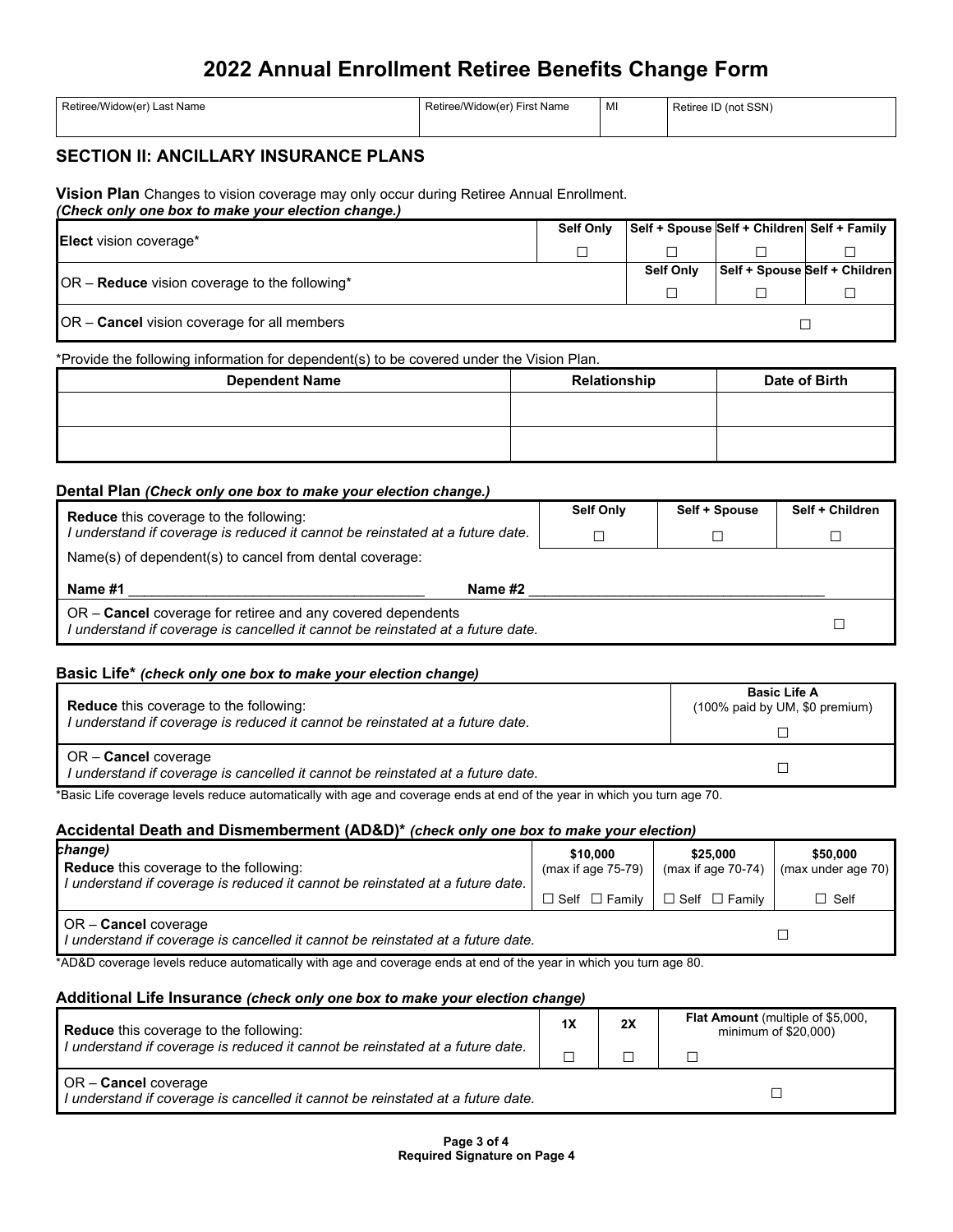| Retiree/Widow(er) Last Name | Retiree/Widow(er) First Name | MI | Retiree ID (not SSN) |
|-----------------------------|------------------------------|----|----------------------|
|                             |                              |    |                      |

# **SECTION II: ANCILLARY INSURANCE PLANS**

**Vision Plan** Changes to vision coverage may only occur during Retiree Annual Enrollment. *(Check only one box to make your election change.)* 

| <b>Elect</b> vision coverage*                      |  | Self + Spouse Self + Children Self + Family |                               |
|----------------------------------------------------|--|---------------------------------------------|-------------------------------|
|                                                    |  |                                             |                               |
|                                                    |  | <b>Self Only</b>                            | Self + Spouse Self + Children |
| $OR$ – Reduce vision coverage to the following*    |  |                                             |                               |
| OR – <b>Cancel</b> vision coverage for all members |  |                                             |                               |

#### \*Provide the following information for dependent(s) to be covered under the Vision Plan.

| <b>Dependent Name</b> | Relationship | Date of Birth |
|-----------------------|--------------|---------------|
|                       |              |               |
|                       |              |               |
|                       |              |               |

### **Dental Plan** *(Check only one box to make your election change.)*

| <b>Reduce</b> this coverage to the following:<br>l understand if coverage is reduced it cannot be reinstated at a future date. | <b>Self Only</b> | Self + Spouse | Self + Children |
|--------------------------------------------------------------------------------------------------------------------------------|------------------|---------------|-----------------|
| Name(s) of dependent(s) to cancel from dental coverage:                                                                        |                  |               |                 |
| Name #1<br>Name #2                                                                                                             |                  |               |                 |
|                                                                                                                                |                  |               |                 |

### **Basic Life\*** *(check only one box to make your election change)*

| <b>Reduce</b> this coverage to the following:                                                                  | <b>Basic Life A</b>            |
|----------------------------------------------------------------------------------------------------------------|--------------------------------|
| I understand if coverage is reduced it cannot be reinstated at a future date.                                  | (100% paid by UM, \$0 premium) |
| OR - <b>Cancel</b> coverage<br>I understand if coverage is cancelled it cannot be reinstated at a future date. |                                |

\*Basic Life coverage levels reduce automatically with age and coverage ends at end of the year in which you turn age 70.

### **Accidental Death and Dismemberment (AD&D)\*** *(check only one box to make your election)*

| change)                                                                                                                        | \$10,000              | \$25,000                                            | \$50,000           |
|--------------------------------------------------------------------------------------------------------------------------------|-----------------------|-----------------------------------------------------|--------------------|
| <b>Reduce</b> this coverage to the following:<br>I understand if coverage is reduced it cannot be reinstated at a future date. | (max if age $75-79$ ) | (max if age $70-74$ )                               | (max under age 70) |
|                                                                                                                                |                       | $\Box$ Self $\Box$ Family $\Box$ Self $\Box$ Family | $\Box$ Self        |
| <b>OR-Cancel coverage</b><br>I understand if coverage is cancelled it cannot be reinstated at a future date.                   |                       |                                                     |                    |

\*AD&D coverage levels reduce automatically with age and coverage ends at end of the year in which you turn age 80.

## **Additional Life Insurance** *(check only one box to make your election change)*

| <b>Reduce</b> this coverage to the following:                                                           | 1X | 2X | <b>Flat Amount</b> (multiple of \$5,000,<br>minimum of $$20,000$ ) |
|---------------------------------------------------------------------------------------------------------|----|----|--------------------------------------------------------------------|
| I understand if coverage is reduced it cannot be reinstated at a future date.                           |    |    |                                                                    |
| OR - Cancel coverage<br>I understand if coverage is cancelled it cannot be reinstated at a future date. |    |    |                                                                    |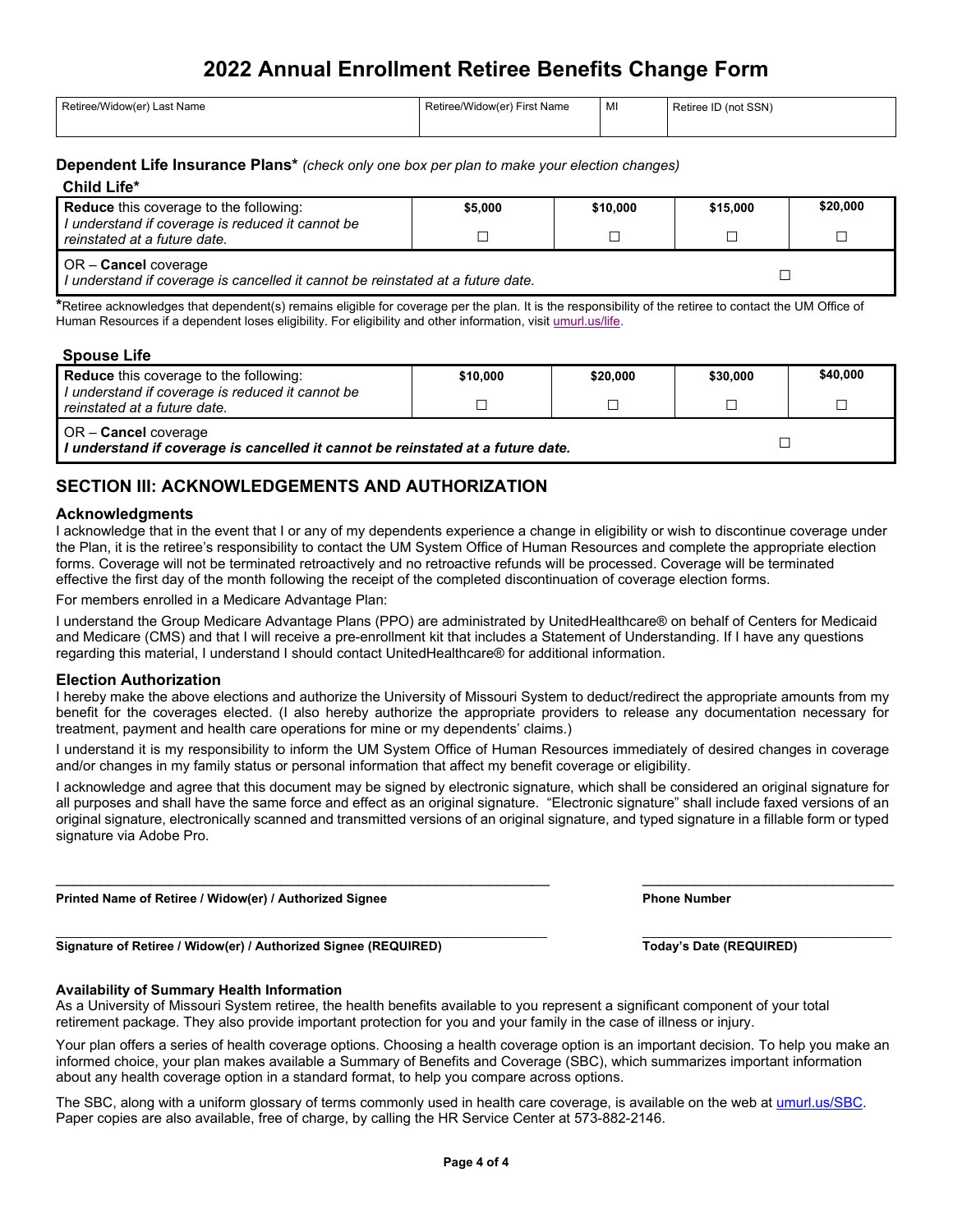| Retiree/Widow(er) Last Name | Retiree/Widow(er) First Name | MI | Retiree ID (not SSN) |
|-----------------------------|------------------------------|----|----------------------|
|-----------------------------|------------------------------|----|----------------------|

#### **Dependent Life Insurance Plans\*** *(check only one box per plan to make your election changes)*

### **Child Life\***

| <b>Reduce</b> this coverage to the following:                                                                    | \$5,000 | \$10,000 | \$15,000 | \$20,000 |
|------------------------------------------------------------------------------------------------------------------|---------|----------|----------|----------|
| I understand if coverage is reduced it cannot be<br>reinstated at a future date.                                 |         |          |          |          |
| $OR -$ <b>Cancel</b> coverage<br>I understand if coverage is cancelled it cannot be reinstated at a future date. |         |          |          |          |

**\***Retiree acknowledges that dependent(s) remains eligible for coverage per the plan. It is the responsibility of the retiree to contact the UM Office of Human Resources if a dependent loses eligibility. For eligibility and other information, visi[t umurl.us/life.](https://mailmissouri.sharepoint.com/sites/AnnualEnrollment-Ogrp/Shared%20Documents/AE%202020%20(OE21)/Retiree/www.umsystem.edu/totalrewards/retirement/life_insurance)

### **Spouse Life**

| <b>Reduce</b> this coverage to the following:                                                               | \$10,000 | \$20,000 | \$30,000 | \$40,000 |
|-------------------------------------------------------------------------------------------------------------|----------|----------|----------|----------|
| I understand if coverage is reduced it cannot be<br>reinstated at a future date.                            |          |          |          |          |
| $OR$ – Cancel coverage<br>  I understand if coverage is cancelled it cannot be reinstated at a future date. |          |          |          |          |

# **SECTION III: ACKNOWLEDGEMENTS AND AUTHORIZATION**

#### **Acknowledgments**

I acknowledge that in the event that I or any of my dependents experience a change in eligibility or wish to discontinue coverage under the Plan, it is the retiree's responsibility to contact the UM System Office of Human Resources and complete the appropriate election forms. Coverage will not be terminated retroactively and no retroactive refunds will be processed. Coverage will be terminated effective the first day of the month following the receipt of the completed discontinuation of coverage election forms.

For members enrolled in a Medicare Advantage Plan:

I understand the Group Medicare Advantage Plans (PPO) are administrated by UnitedHealthcare® on behalf of Centers for Medicaid and Medicare (CMS) and that I will receive a pre-enrollment kit that includes a Statement of Understanding. If I have any questions regarding this material, I understand I should contact UnitedHealthcare® for additional information.

#### **Election Authorization**

I hereby make the above elections and authorize the University of Missouri System to deduct/redirect the appropriate amounts from my benefit for the coverages elected. (I also hereby authorize the appropriate providers to release any documentation necessary for treatment, payment and health care operations for mine or my dependents' claims.)

I understand it is my responsibility to inform the UM System Office of Human Resources immediately of desired changes in coverage and/or changes in my family status or personal information that affect my benefit coverage or eligibility.

I acknowledge and agree that this document may be signed by electronic signature, which shall be considered an original signature for all purposes and shall have the same force and effect as an original signature. "Electronic signature" shall include faxed versions of an original signature, electronically scanned and transmitted versions of an original signature, and typed signature in a fillable form or typed signature via Adobe Pro.

\_\_\_\_\_\_\_\_\_\_\_\_\_\_\_\_\_\_\_\_\_\_\_\_\_\_\_\_\_\_\_\_\_\_\_\_\_\_\_\_\_\_\_\_\_\_\_\_\_\_\_\_\_\_\_\_\_ \_\_\_\_\_\_\_\_\_\_\_\_\_\_\_\_\_\_\_\_\_\_\_\_\_\_\_\_\_

Printed Name of Retiree / Widow(er) / Authorized Signee **Phone Aumber** Phone Number

**Signature of Retiree / Widow(er) / Authorized Signee (REQUIRED) Today's Date (REQUIRED)**

#### **Availability of Summary Health Information**

As a University of Missouri System retiree, the health benefits available to you represent a significant component of your total retirement package. They also provide important protection for you and your family in the case of illness or injury.

Your plan offers a series of health coverage options. Choosing a health coverage option is an important decision. To help you make an informed choice, your plan makes available a Summary of Benefits and Coverage (SBC), which summarizes important information about any health coverage option in a standard format, to help you compare across options.

The SBC, along with a uniform glossary of terms commonly used in health care coverage, is available on the web at [umurl.us/SBC.](http://umurl.us/SBC) Paper copies are also available, free of charge, by calling the HR Service Center at 573-882-2146.

 $\_$  , and the state of the state of the state of the state of the state of the state of the state of the state of the state of the state of the state of the state of the state of the state of the state of the state of the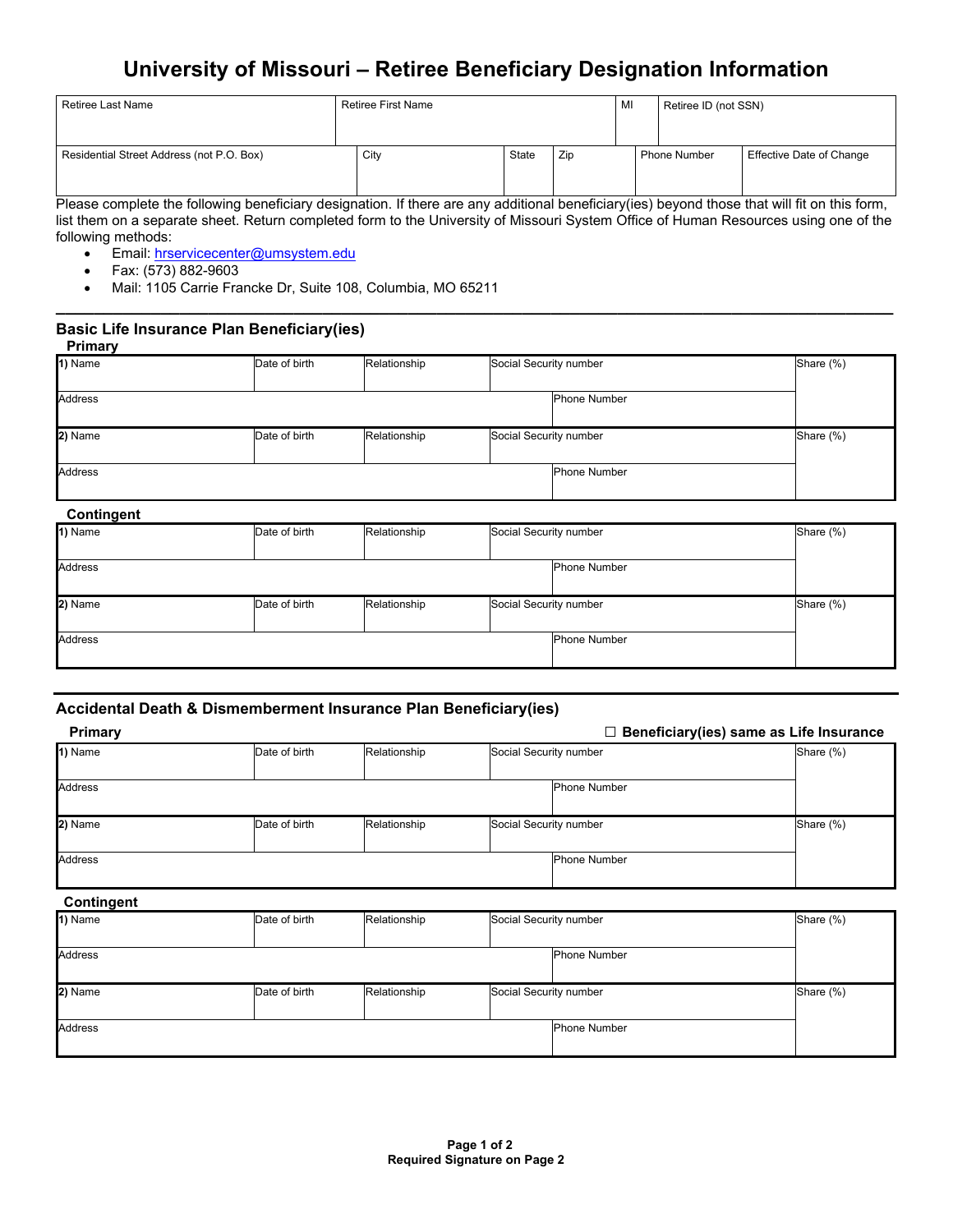# **University of Missouri – Retiree Beneficiary Designation Information**

| Retiree Last Name                         | Retiree First Name |       |     | MI | Retiree ID (not SSN) |                          |
|-------------------------------------------|--------------------|-------|-----|----|----------------------|--------------------------|
| Residential Street Address (not P.O. Box) | City               | State | Zip |    | <b>Phone Number</b>  | Effective Date of Change |

Please complete the following beneficiary designation. If there are any additional beneficiary(ies) beyond those that will fit on this form, list them on a separate sheet. Return completed form to the University of Missouri System Office of Human Resources using one of the following methods:

**\_\_\_\_\_\_\_\_\_\_\_\_\_\_\_\_\_\_\_\_\_\_\_\_\_\_\_\_\_\_\_\_\_\_\_\_\_\_\_\_\_\_\_\_\_\_\_\_\_\_\_\_\_\_\_\_\_\_\_\_\_\_\_\_\_\_\_\_\_\_\_\_\_\_\_\_\_\_\_\_\_\_\_\_\_\_\_\_**

- Email: [hrservicecenter@umsystem.edu](mailto:hrservicecenter@umsystem.edu)
- Fax: (573) 882-9603
- Mail: 1105 Carrie Francke Dr, Suite 108, Columbia, MO 65211

#### **Basic Life Insurance Plan Beneficiary(ies) Primary**

| .       |               |              |                        |           |
|---------|---------------|--------------|------------------------|-----------|
| 1) Name | Date of birth | Relationship | Social Security number | Share (%) |
|         |               |              |                        |           |
|         |               |              |                        |           |
| Address |               |              | <b>Phone Number</b>    |           |
|         |               |              |                        |           |
|         |               |              |                        |           |
|         |               |              |                        |           |
| 2) Name | Date of birth | Relationship | Social Security number | Share (%) |
|         |               |              |                        |           |
|         |               |              |                        |           |
| Address |               |              | <b>Phone Number</b>    |           |
|         |               |              |                        |           |
|         |               |              |                        |           |

## **Contingent**

| oonungon.      |               |              |                        |                     |           |
|----------------|---------------|--------------|------------------------|---------------------|-----------|
| 1) Name        | Date of birth | Relationship | Social Security number |                     | Share (%) |
|                |               |              |                        |                     |           |
|                |               |              |                        |                     |           |
| Address        |               |              |                        | <b>Phone Number</b> |           |
|                |               |              |                        |                     |           |
|                |               |              |                        |                     |           |
| 2) Name        | Date of birth | Relationship | Social Security number |                     | Share (%) |
|                |               |              |                        |                     |           |
|                |               |              |                        |                     |           |
| <b>Address</b> |               |              |                        | <b>Phone Number</b> |           |
|                |               |              |                        |                     |           |
|                |               |              |                        |                     |           |

### **Accidental Death & Dismemberment Insurance Plan Beneficiary(ies)**

| Primary        |               |              |                        | ٦                   | Beneficiary(ies) same as Life Insurance |
|----------------|---------------|--------------|------------------------|---------------------|-----------------------------------------|
| 1) Name        | Date of birth | Relationship | Social Security number |                     | Share (%)                               |
| <b>Address</b> |               |              |                        | <b>Phone Number</b> |                                         |
| 2) Name        | Date of birth | Relationship | Social Security number |                     | Share (%)                               |
| <b>Address</b> |               |              |                        | <b>Phone Number</b> |                                         |

## **Contingent**

| 1) Name        | Date of birth | Relationship | Social Security number |                     | Share (%) |
|----------------|---------------|--------------|------------------------|---------------------|-----------|
|                |               |              |                        |                     |           |
| <b>Address</b> |               |              |                        | <b>Phone Number</b> |           |
|                |               |              |                        |                     |           |
| 2) Name        | Date of birth | Relationship | Social Security number |                     | Share (%) |
|                |               |              |                        |                     |           |
| <b>Address</b> |               |              |                        | <b>Phone Number</b> |           |
|                |               |              |                        |                     |           |